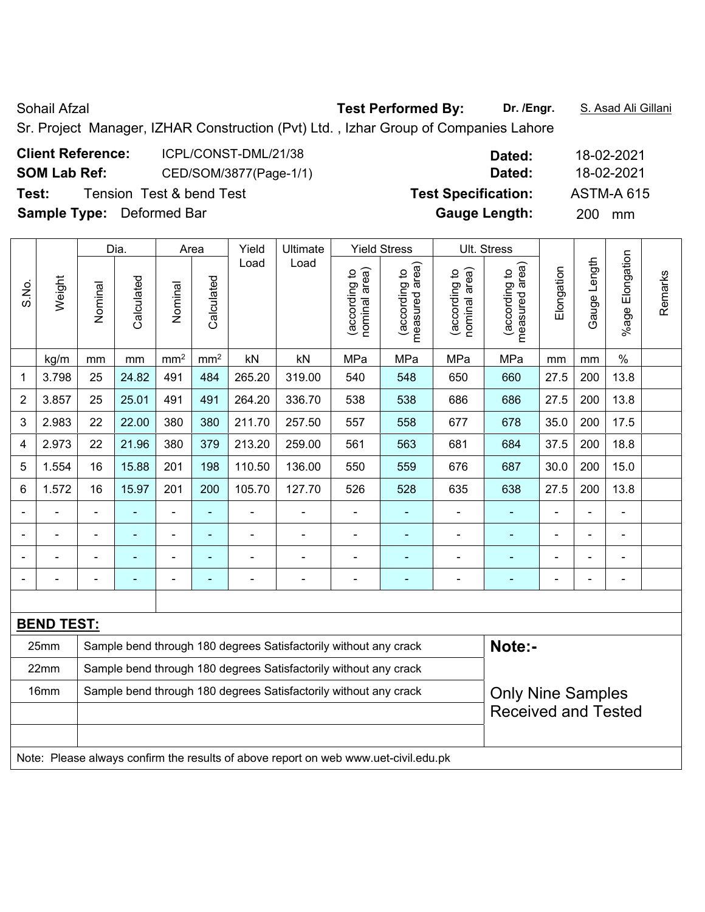Sohail Afzal **Test Performed By:** Dr. /Engr. **S. Asad Ali Gillani** Afzal Ali Gillani

Sr. Project Manager, IZHAR Construction (Pvt) Ltd. , Izhar Group of Companies Lahore

| <b>Client Reference:</b>         | ICPL/CONST-DML/21/38     | Dated:                     | 18-02-2021        |
|----------------------------------|--------------------------|----------------------------|-------------------|
| <b>SOM Lab Ref:</b>              | CED/SOM/3877(Page-1/1)   | Dated:                     | 18-02-2021        |
| Test:                            | Tension Test & bend Test | <b>Test Specification:</b> | <b>ASTM-A 615</b> |
| <b>Sample Type:</b> Deformed Bar |                          | <b>Gauge Length:</b>       | <b>200</b><br>mm  |

|                          |                                                                                                      |                | Dia.           | Area            |                 | Yield          | Ultimate                                                         |                                | <b>Yield Stress</b>             |                                | Ult. Stress                     |                |                |                      |         |
|--------------------------|------------------------------------------------------------------------------------------------------|----------------|----------------|-----------------|-----------------|----------------|------------------------------------------------------------------|--------------------------------|---------------------------------|--------------------------------|---------------------------------|----------------|----------------|----------------------|---------|
| S.No.                    | Weight                                                                                               | Nominal        | Calculated     | Nominal         | Calculated      | Load           | Load                                                             | nominal area)<br>(according to | measured area)<br>(according to | nominal area)<br>(according to | measured area)<br>(according to | Elongation     | Gauge Length   | Elongation<br>%age I | Remarks |
|                          | kg/m                                                                                                 | mm             | mm             | mm <sup>2</sup> | mm <sup>2</sup> | kN             | kN                                                               | MPa                            | MPa                             | MPa                            | MPa                             | mm             | mm             | $\frac{0}{0}$        |         |
| 1                        | 3.798                                                                                                | 25             | 24.82          | 491             | 484             | 265.20         | 319.00                                                           | 540                            | 548                             | 650                            | 660                             | 27.5           | 200            | 13.8                 |         |
| $\overline{2}$           | 3.857                                                                                                | 25             | 25.01          | 491             | 491             | 264.20         | 336.70                                                           | 538                            | 538                             | 686                            | 686                             | 27.5           | 200            | 13.8                 |         |
| 3                        | 2.983                                                                                                | 22             | 22.00          | 380             | 380             | 211.70         | 257.50                                                           | 557                            | 558                             | 677                            | 678                             | 35.0           | 200            | 17.5                 |         |
| 4                        | 2.973                                                                                                | 22             | 21.96          | 380             | 379             | 213.20         | 259.00                                                           | 561                            | 563                             | 681                            | 684                             | 37.5           | 200            | 18.8                 |         |
| 5                        | 1.554                                                                                                | 16             | 15.88          | 201             | 198             | 110.50         | 136.00                                                           | 550                            | 559                             | 676                            | 687                             | 30.0           | 200            | 15.0                 |         |
| 6                        | 1.572                                                                                                | 16             | 15.97          | 201             | 200             | 105.70         | 127.70                                                           | 526                            | 528                             | 635                            | 638                             | 27.5           | 200            | 13.8                 |         |
|                          |                                                                                                      | $\blacksquare$ | $\blacksquare$ | $\blacksquare$  | $\blacksquare$  | $\blacksquare$ | $\overline{\phantom{a}}$                                         | $\blacksquare$                 | $\blacksquare$                  | ÷                              | $\blacksquare$                  | $\blacksquare$ | $\blacksquare$ | $\blacksquare$       |         |
|                          |                                                                                                      | $\blacksquare$ |                | $\blacksquare$  | ۰               | $\blacksquare$ | $\blacksquare$                                                   | $\blacksquare$                 | ä,                              |                                | $\blacksquare$                  |                | $\blacksquare$ | $\blacksquare$       |         |
|                          |                                                                                                      | $\blacksquare$ |                | $\blacksquare$  |                 |                | Ē.                                                               | $\blacksquare$                 |                                 |                                |                                 |                | L              | L,                   |         |
| $\overline{\phantom{0}}$ |                                                                                                      | ۰              |                |                 | ÷               | ۰              | $\blacksquare$                                                   | $\overline{a}$                 | ÷                               |                                | $\overline{\phantom{0}}$        | $\blacksquare$ | ä,             | $\blacksquare$       |         |
|                          |                                                                                                      |                |                |                 |                 |                |                                                                  |                                |                                 |                                |                                 |                |                |                      |         |
|                          | <b>BEND TEST:</b>                                                                                    |                |                |                 |                 |                |                                                                  |                                |                                 |                                |                                 |                |                |                      |         |
|                          | 25mm                                                                                                 |                |                |                 |                 |                | Sample bend through 180 degrees Satisfactorily without any crack |                                |                                 |                                | Note:-                          |                |                |                      |         |
|                          | 22mm<br>Sample bend through 180 degrees Satisfactorily without any crack                             |                |                |                 |                 |                |                                                                  |                                |                                 |                                |                                 |                |                |                      |         |
|                          | 16mm<br>Sample bend through 180 degrees Satisfactorily without any crack<br><b>Only Nine Samples</b> |                |                |                 |                 |                |                                                                  |                                |                                 |                                |                                 |                |                |                      |         |
|                          |                                                                                                      |                |                |                 |                 |                |                                                                  |                                |                                 |                                | <b>Received and Tested</b>      |                |                |                      |         |
|                          |                                                                                                      |                |                |                 |                 |                |                                                                  |                                |                                 |                                |                                 |                |                |                      |         |

Note: Please always confirm the results of above report on web www.uet-civil.edu.pk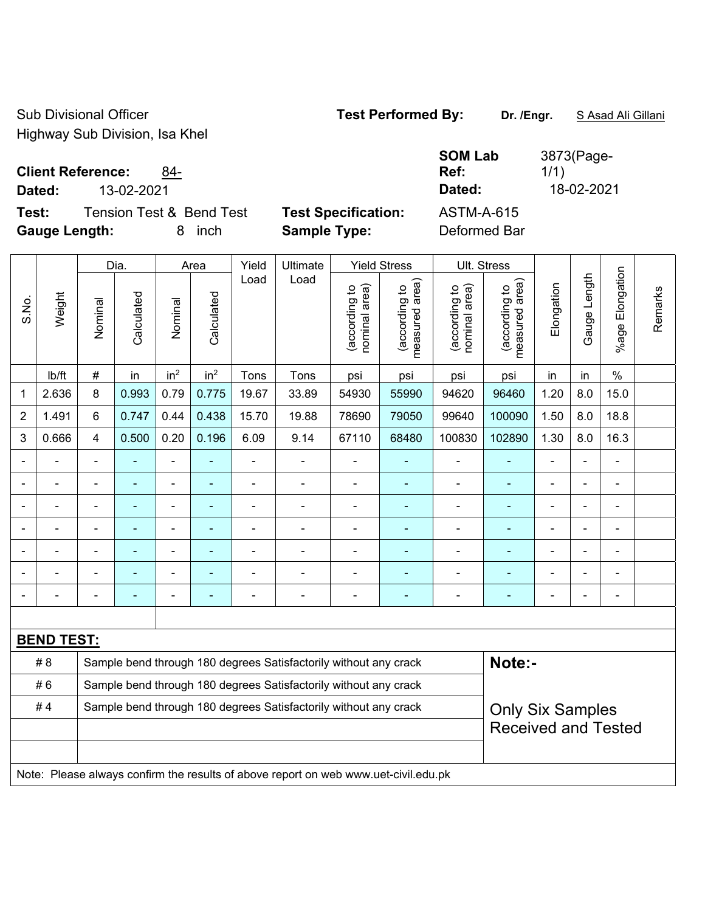Sub Divisional Officer **Test Performed By:** Dr. /Engr. **SAsad Ali Gillani** Sub Divisional Officer Highway Sub Division, Isa Khel

**Client Reference:** 84-

**Dated:** 13-02-2021 **Dated:** 18-02-2021

**Test:** Tension Test & Bend Test **Test Specification:** ASTM-A-615 **Gauge Length:** 8 inch **Sample Type:** Deformed Bar

|                |                   |                          | Dia.                     |                              | Area                     | Yield          | Ultimate                                                                            |                                | <b>Yield Stress</b>                         |                                | Ult. Stress                     |                |                |                       |         |
|----------------|-------------------|--------------------------|--------------------------|------------------------------|--------------------------|----------------|-------------------------------------------------------------------------------------|--------------------------------|---------------------------------------------|--------------------------------|---------------------------------|----------------|----------------|-----------------------|---------|
| S.No.          | Weight            | Nominal                  | Calculated               | Nominal                      | Calculated               | Load           | Load                                                                                | (according to<br>nominal area) | (according to<br>neasured area)<br>measured | (according to<br>nominal area) | (according to<br>measured area) | Elongation     | Gauge Length   | Elongation<br>$%$ age | Remarks |
|                | Ib/ft             | $\#$                     | in                       | in <sup>2</sup>              | in <sup>2</sup>          | Tons           | Tons                                                                                | psi                            | psi                                         | psi                            | psi                             | in             | in             | $\frac{0}{0}$         |         |
| 1              | 2.636             | 8                        | 0.993                    | 0.79                         | 0.775                    | 19.67          | 33.89                                                                               | 54930                          | 55990                                       | 94620                          | 96460                           | 1.20           | 8.0            | 15.0                  |         |
| $\overline{2}$ | 1.491             | 6                        | 0.747                    | 0.44                         | 0.438                    | 15.70          | 19.88                                                                               | 78690                          | 79050                                       | 99640                          | 100090                          | 1.50           | 8.0            | 18.8                  |         |
| 3              | 0.666             | 4                        | 0.500                    | 0.20                         | 0.196                    | 6.09           | 9.14                                                                                | 67110                          | 68480                                       | 100830                         | 102890                          | 1.30           | 8.0            | 16.3                  |         |
|                |                   |                          | ä,                       | ÷,                           | $\blacksquare$           | ä,             | $\blacksquare$                                                                      | ä,                             | $\overline{\phantom{a}}$                    | Ē,                             | ÷                               | ä,             |                | ä,                    |         |
|                |                   | $\blacksquare$           | ä,                       | $\blacksquare$               | $\blacksquare$           | $\blacksquare$ | $\frac{1}{2}$                                                                       | ä,                             | ÷,                                          | $\blacksquare$                 | $\blacksquare$                  | ÷              |                | $\blacksquare$        |         |
|                |                   | $\blacksquare$           | ä,                       | $\qquad \qquad \blacksquare$ | $\overline{\phantom{a}}$ | $\blacksquare$ | ÷,                                                                                  | $\blacksquare$                 | $\blacksquare$                              | $\overline{a}$                 | ÷                               | L,             |                | $\blacksquare$        |         |
|                |                   |                          | ÷                        | $\blacksquare$               |                          |                | $\blacksquare$                                                                      | $\blacksquare$                 | $\blacksquare$                              | $\blacksquare$                 | ۰                               | ÷              |                |                       |         |
|                |                   |                          |                          |                              |                          |                | $\blacksquare$                                                                      |                                |                                             |                                |                                 |                |                | $\blacksquare$        |         |
|                |                   |                          | $\blacksquare$           | $\blacksquare$               |                          |                | $\blacksquare$                                                                      | $\blacksquare$                 | $\blacksquare$                              | $\blacksquare$                 | ۰                               | ÷              | $\blacksquare$ | $\blacksquare$        |         |
|                |                   | $\overline{\phantom{0}}$ | $\overline{\phantom{0}}$ | $\blacksquare$               | $\overline{\phantom{a}}$ | Ē              | $\overline{a}$                                                                      | $\blacksquare$                 | $\overline{\phantom{a}}$                    | $\qquad \qquad \blacksquare$   | ۰                               | $\blacksquare$ |                | $\overline{a}$        |         |
|                |                   |                          |                          |                              |                          |                |                                                                                     |                                |                                             |                                |                                 |                |                |                       |         |
|                | <b>BEND TEST:</b> |                          |                          |                              |                          |                |                                                                                     |                                |                                             |                                |                                 |                |                |                       |         |
|                | #8                |                          |                          |                              |                          |                | Sample bend through 180 degrees Satisfactorily without any crack                    |                                |                                             |                                | Note:-                          |                |                |                       |         |
|                | #6                |                          |                          |                              |                          |                | Sample bend through 180 degrees Satisfactorily without any crack                    |                                |                                             |                                |                                 |                |                |                       |         |
|                | #4                |                          |                          |                              |                          |                | Sample bend through 180 degrees Satisfactorily without any crack                    |                                |                                             |                                | <b>Only Six Samples</b>         |                |                |                       |         |
|                |                   |                          |                          |                              |                          |                |                                                                                     |                                |                                             |                                | <b>Received and Tested</b>      |                |                |                       |         |
|                |                   |                          |                          |                              |                          |                |                                                                                     |                                |                                             |                                |                                 |                |                |                       |         |
|                |                   |                          |                          |                              |                          |                | Note: Please always confirm the results of above report on web www.uet-civil.edu.pk |                                |                                             |                                |                                 |                |                |                       |         |

**SOM Lab Ref:** 

3873(Page-1/1)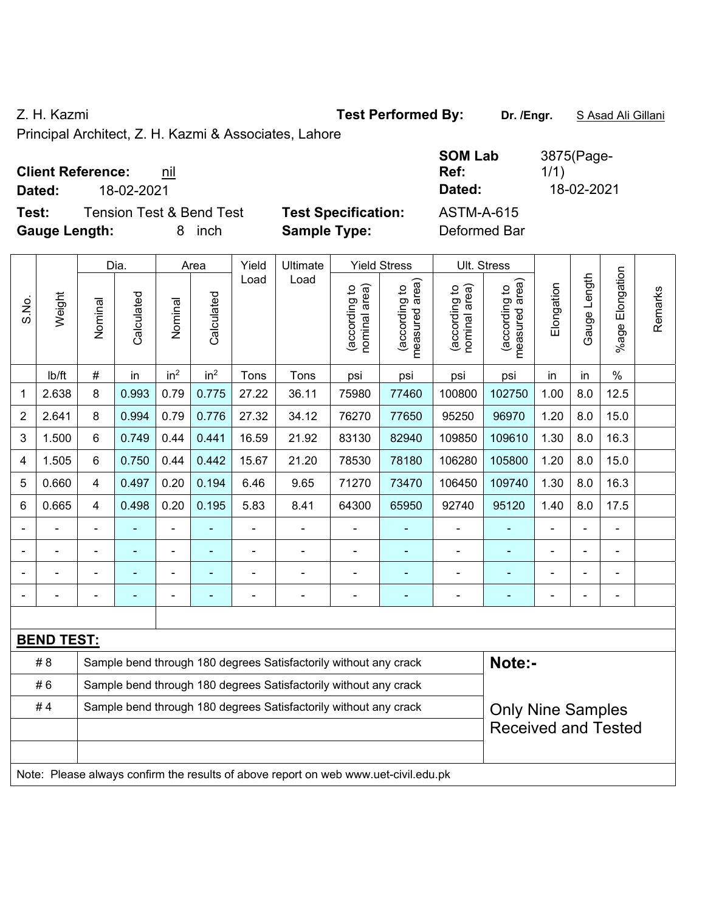Z. H. Kazmi **Test Performed By:** Dr. /Engr. **SAsad Ali Gillani** C. H. Kazmi

Principal Architect, Z. H. Kazmi & Associates, Lahore

| <b>Client Reference:</b> | nil |
|--------------------------|-----|
|--------------------------|-----|

**Dated:** 18-02-2021 **Dated:** 18-02-2021

**Test:** Tension Test & Bend Test **Test Specification: Gauge Length:** 8 inch **Sample Type:** Deformed Bar

| <b>SOM Lab</b><br>Ref: | 3875(Page-<br>1/1) |
|------------------------|--------------------|
| Dated:                 | 18-02-2021         |
| ASTM-A-615             |                    |

|                |                   |                                                                                              | Dia.       |                 | Area            | Yield          | Ultimate                                                                            |                                | <b>Yield Stress</b>             |                               | Ult. Stress                     |                |              |                    |         |
|----------------|-------------------|----------------------------------------------------------------------------------------------|------------|-----------------|-----------------|----------------|-------------------------------------------------------------------------------------|--------------------------------|---------------------------------|-------------------------------|---------------------------------|----------------|--------------|--------------------|---------|
| S.No.          | Weight            | Nominal                                                                                      | Calculated | Nominal         | Calculated      | Load           | Load                                                                                | nominal area)<br>(according to | (according to<br>measured area) | nominal area)<br>according to | (according to<br>measured area) | Elongation     | Gauge Length | Elongation<br>%age | Remarks |
|                | lb/ft             | $\#$                                                                                         | in         | in <sup>2</sup> | in <sup>2</sup> | Tons           | Tons                                                                                | psi                            | psi                             | psi                           | psi                             | in             | in           | $\%$               |         |
| 1              | 2.638             | 8                                                                                            | 0.993      | 0.79            | 0.775           | 27.22          | 36.11                                                                               | 75980                          | 77460                           | 100800                        | 102750                          | 1.00           | 8.0          | 12.5               |         |
| $\overline{2}$ | 2.641             | 8                                                                                            | 0.994      | 0.79            | 0.776           | 27.32          | 34.12                                                                               | 76270                          | 77650                           | 95250                         | 96970                           | 1.20           | 8.0          | 15.0               |         |
| 3              | 1.500             | 6                                                                                            | 0.749      | 0.44            | 0.441           | 16.59          | 21.92                                                                               | 83130                          | 82940                           | 109850                        | 109610                          | 1.30           | 8.0          | 16.3               |         |
| 4              | 1.505             | 6                                                                                            | 0.750      | 0.44            | 0.442           | 15.67          | 21.20                                                                               | 78530                          | 78180                           | 106280                        | 105800                          | 1.20           | 8.0          | 15.0               |         |
| 5              | 0.660             | $\overline{4}$                                                                               | 0.497      | 0.20            | 0.194           | 6.46           | 9.65                                                                                | 71270                          | 73470                           | 106450                        | 109740                          | 1.30           | 8.0          | 16.3               |         |
| 6              | 0.665             | $\overline{4}$                                                                               | 0.498      | 0.20            | 0.195           | 5.83           | 8.41                                                                                | 64300                          | 65950                           | 92740                         | 95120                           | 1.40           | 8.0          | 17.5               |         |
|                |                   |                                                                                              |            | $\overline{a}$  |                 |                | $\blacksquare$                                                                      |                                |                                 |                               |                                 |                |              |                    |         |
|                |                   |                                                                                              |            | ÷               |                 |                |                                                                                     | $\blacksquare$                 |                                 |                               |                                 |                |              |                    |         |
|                |                   |                                                                                              |            | ä,              |                 |                | $\blacksquare$                                                                      | $\blacksquare$                 | ۰                               |                               |                                 | $\blacksquare$ |              | $\blacksquare$     |         |
|                |                   | $\overline{\phantom{0}}$                                                                     |            | ÷               | ÷               | $\blacksquare$ | $\blacksquare$                                                                      | $\blacksquare$                 | ۰                               | $\blacksquare$                | ÷                               | ۰              |              |                    |         |
|                |                   |                                                                                              |            |                 |                 |                |                                                                                     |                                |                                 |                               |                                 |                |              |                    |         |
|                | <b>BEND TEST:</b> |                                                                                              |            |                 |                 |                |                                                                                     |                                |                                 |                               |                                 |                |              |                    |         |
|                | #8                |                                                                                              |            |                 |                 |                | Sample bend through 180 degrees Satisfactorily without any crack                    |                                |                                 |                               | Note:-                          |                |              |                    |         |
|                | #6                |                                                                                              |            |                 |                 |                | Sample bend through 180 degrees Satisfactorily without any crack                    |                                |                                 |                               |                                 |                |              |                    |         |
|                | #4                | Sample bend through 180 degrees Satisfactorily without any crack<br><b>Only Nine Samples</b> |            |                 |                 |                |                                                                                     |                                |                                 |                               |                                 |                |              |                    |         |
|                |                   | <b>Received and Tested</b>                                                                   |            |                 |                 |                |                                                                                     |                                |                                 |                               |                                 |                |              |                    |         |
|                |                   |                                                                                              |            |                 |                 |                |                                                                                     |                                |                                 |                               |                                 |                |              |                    |         |
|                |                   |                                                                                              |            |                 |                 |                | Note: Please always confirm the results of above report on web www.uet-civil.edu.pk |                                |                                 |                               |                                 |                |              |                    |         |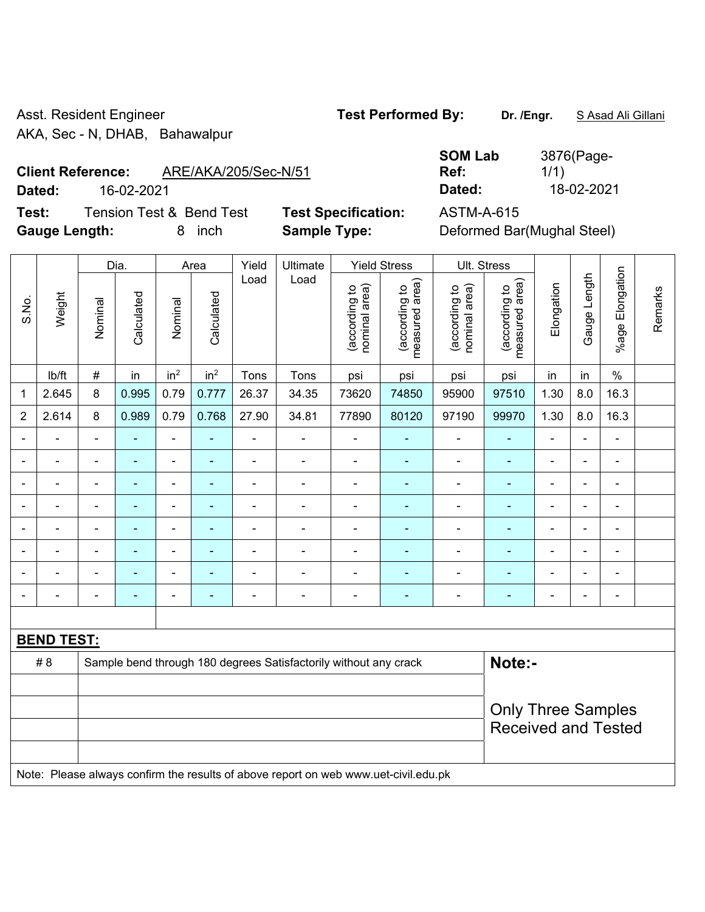AKA, Sec - N, DHAB, Bahawalpur

# **Client Reference:** ARE/AKA/205/Sec-N/51

**Dated:** 16-02-2021 **Dated:** 18-02-2021

**Test:** Tension Test & Bend Test **Test Specification:** ASTM-A-615 **Gauge Length:** 8 inch **Sample Type:** Deformed Bar(Mughal Steel)

|                |                   |                           | Dia.                     |                 | Area                     | Yield                    | Ultimate                                                         |                                | <b>Yield Stress</b>             |                                | Ult. Stress                     |                          |                |                          |         |
|----------------|-------------------|---------------------------|--------------------------|-----------------|--------------------------|--------------------------|------------------------------------------------------------------|--------------------------------|---------------------------------|--------------------------------|---------------------------------|--------------------------|----------------|--------------------------|---------|
| S.No.          | Weight            | Nominal                   | Calculated               | Nominal         | Calculated               | Load                     | Load                                                             | nominal area)<br>(according to | (according to<br>measured area) | nominal area)<br>(according to | measured area)<br>(according to | Elongation               | Gauge Length   | %age Elongation          | Remarks |
|                | lb/ft             | $\#$                      | in                       | in <sup>2</sup> | in <sup>2</sup>          | Tons                     | Tons                                                             | psi                            | psi                             | psi                            | psi                             | in                       | in             | $\%$                     |         |
| $\mathbf{1}$   | 2.645             | $\,8\,$                   | 0.995                    | 0.79            | 0.777                    | 26.37                    | 34.35                                                            | 73620                          | 74850                           | 95900                          | 97510                           | 1.30                     | 8.0            | 16.3                     |         |
| $\overline{2}$ | 2.614             | 8                         | 0.989                    | 0.79            | 0.768                    | 27.90                    | 34.81                                                            | 77890                          | 80120                           | 97190                          | 99970                           | 1.30                     | 8.0            | 16.3                     |         |
|                |                   | $\blacksquare$            | $\blacksquare$           | ÷,              | $\blacksquare$           | $\blacksquare$           | $\blacksquare$                                                   | $\blacksquare$                 | $\blacksquare$                  | $\overline{\phantom{0}}$       | $\blacksquare$                  | $\blacksquare$           | ä,             | ÷,                       |         |
|                | $\blacksquare$    | $\blacksquare$            | ۰                        | ۰               | $\blacksquare$           | $\overline{\phantom{a}}$ | Ē,                                                               | $\blacksquare$                 | $\blacksquare$                  | ۰                              | ä,                              | $\blacksquare$           | $\blacksquare$ | $\blacksquare$           |         |
|                |                   |                           | $\blacksquare$           | $\blacksquare$  |                          | $\blacksquare$           |                                                                  |                                | $\blacksquare$                  | $\blacksquare$                 | ÷,                              |                          | $\blacksquare$ | $\blacksquare$           |         |
|                |                   |                           | $\blacksquare$           | $\blacksquare$  |                          | $\blacksquare$           |                                                                  | $\blacksquare$                 | $\blacksquare$                  | $\blacksquare$                 | L,                              |                          | $\blacksquare$ | $\blacksquare$           |         |
|                | $\blacksquare$    | $\blacksquare$            | $\blacksquare$           | ۰               | $\overline{\phantom{0}}$ | $\blacksquare$           | $\blacksquare$                                                   | $\blacksquare$                 | $\blacksquare$                  | ۰                              | ä,                              | $\blacksquare$           | $\blacksquare$ | $\overline{\phantom{a}}$ |         |
|                |                   |                           | $\blacksquare$           | ۰               |                          | ٠                        |                                                                  |                                |                                 | ۰                              | ÷                               |                          | Ē,             | $\blacksquare$           |         |
|                |                   |                           |                          | ۰               |                          |                          |                                                                  |                                |                                 |                                | -                               |                          | $\blacksquare$ | $\overline{a}$           |         |
|                |                   | $\blacksquare$            | $\overline{\phantom{a}}$ | $\blacksquare$  |                          | ٠                        | $\blacksquare$                                                   | $\blacksquare$                 | $\blacksquare$                  | $\overline{a}$                 | ä,                              | $\overline{\phantom{0}}$ | $\blacksquare$ | $\blacksquare$           |         |
|                |                   |                           |                          |                 |                          |                          |                                                                  |                                |                                 |                                |                                 |                          |                |                          |         |
|                | <b>BEND TEST:</b> |                           |                          |                 |                          |                          |                                                                  |                                |                                 |                                |                                 |                          |                |                          |         |
|                | # 8               |                           |                          |                 |                          |                          | Sample bend through 180 degrees Satisfactorily without any crack |                                |                                 |                                | Note:-                          |                          |                |                          |         |
|                |                   |                           |                          |                 |                          |                          |                                                                  |                                |                                 |                                |                                 |                          |                |                          |         |
|                |                   | <b>Only Three Samples</b> |                          |                 |                          |                          |                                                                  |                                |                                 |                                |                                 |                          |                |                          |         |
|                |                   |                           |                          |                 |                          |                          |                                                                  |                                |                                 |                                | <b>Received and Tested</b>      |                          |                |                          |         |
|                |                   |                           |                          |                 |                          |                          |                                                                  |                                |                                 |                                |                                 |                          |                |                          |         |

Note: Please always confirm the results of above report on web www.uet-civil.edu.pk

Asst. Resident Engineer **Test Performed By:** Dr. /Engr. **SAsad Ali Gillani** Asst. Resident Engineer

**SOM Lab Ref:** 

3876(Page-

1/1)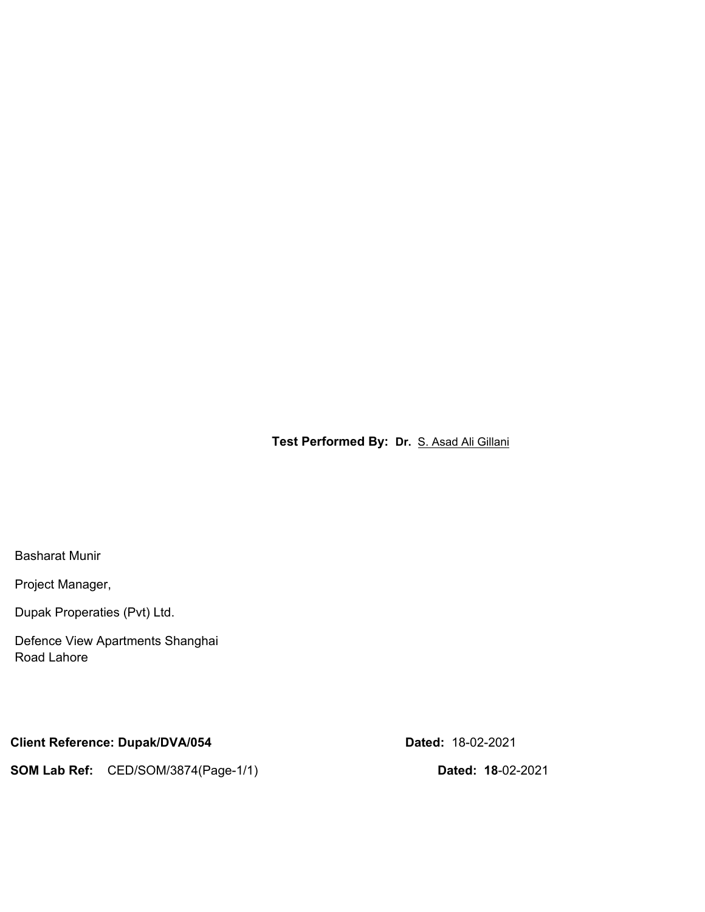**Test Performed By: Dr.** S. Asad Ali Gillani

Basharat Munir

Project Manager,

Dupak Properaties (Pvt) Ltd.

Defence View Apartments Shanghai Road Lahore

**Client Reference: Dupak/DVA/054 Dated:** 18-02-2021

**SOM Lab Ref:** CED/SOM/3874(Page-1/1) **Dated: 18**-02-2021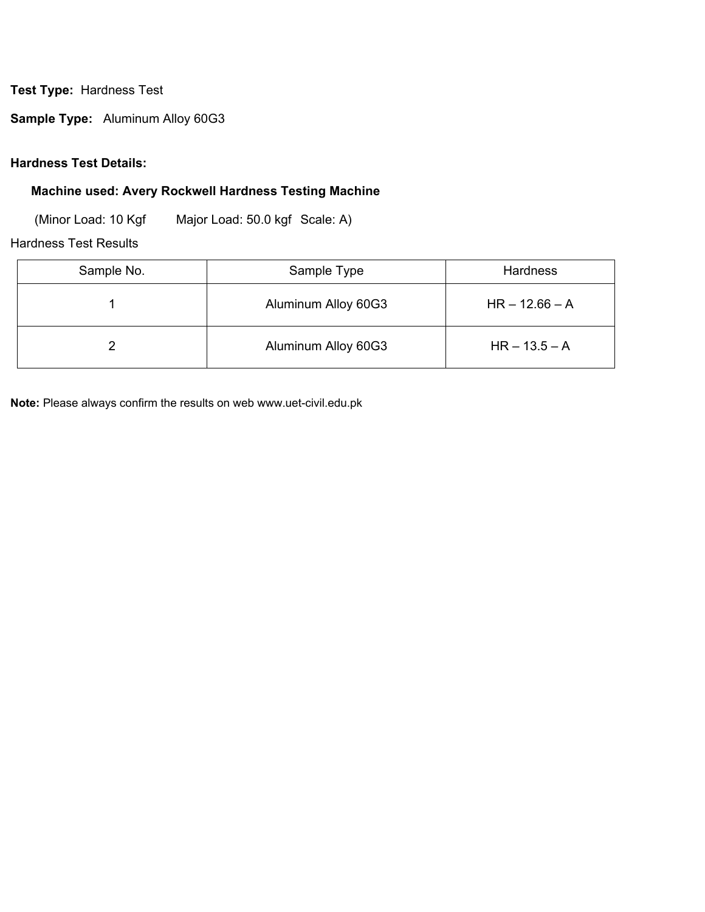**Test Type:** Hardness Test

**Sample Type:** Aluminum Alloy 60G3

#### **Hardness Test Details:**

### **Machine used: Avery Rockwell Hardness Testing Machine**

(Minor Load: 10 Kgf Major Load: 50.0 kgf Scale: A)

Hardness Test Results

| Sample No. | Sample Type         | <b>Hardness</b>  |  |  |
|------------|---------------------|------------------|--|--|
|            | Aluminum Alloy 60G3 | $HR - 12.66 - A$ |  |  |
|            | Aluminum Alloy 60G3 | $HR - 13.5 - A$  |  |  |

**Note:** Please always confirm the results on web www.uet-civil.edu.pk